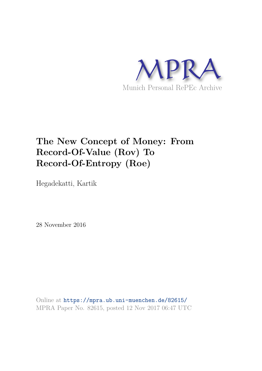

# **The New Concept of Money: From Record-Of-Value (Rov) To Record-Of-Entropy (Roe)**

Hegadekatti, Kartik

28 November 2016

Online at https://mpra.ub.uni-muenchen.de/82615/ MPRA Paper No. 82615, posted 12 Nov 2017 06:47 UTC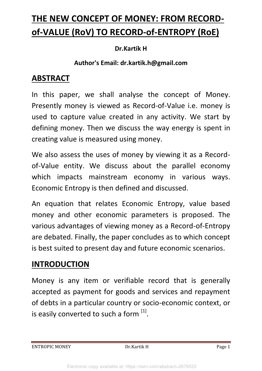# **THE NEW CONCEPT OF MONEY: FROM RECORDof-VALUE (RoV) TO RECORD-of-ENTROPY (RoE)**

#### **Dr.Kartik H**

#### **Author's Email: dr.kartik.h@gmail.com**

### **ABSTRACT**

In this paper, we shall analyse the concept of Money. Presently money is viewed as Record-of-Value i.e. money is used to capture value created in any activity. We start by defining money. Then we discuss the way energy is spent in creating value is measured using money.

We also assess the uses of money by viewing it as a Recordof-Value entity. We discuss about the parallel economy which impacts mainstream economy in various ways. Economic Entropy is then defined and discussed.

An equation that relates Economic Entropy, value based money and other economic parameters is proposed. The various advantages of viewing money as a Record-of-Entropy are debated. Finally, the paper concludes as to which concept is best suited to present day and future economic scenarios.

## **INTRODUCTION**

Money is any item or verifiable record that is generally accepted as payment for goods and services and repayment of debts in a particular country or socio-economic context, or is easily converted to such a form [1].

ENTROPIC MONEY Dr.Kartik H Page 1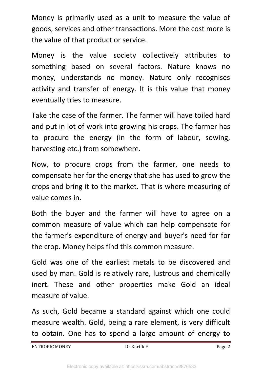Money is primarily used as a unit to measure the value of goods, services and other transactions. More the cost more is the value of that product or service.

Money is the value society collectively attributes to something based on several factors. Nature knows no money, understands no money. Nature only recognises activity and transfer of energy. It is this value that money eventually tries to measure.

Take the case of the farmer. The farmer will have toiled hard and put in lot of work into growing his crops. The farmer has to procure the energy (in the form of labour, sowing, harvesting etc.) from somewhere.

Now, to procure crops from the farmer, one needs to compensate her for the energy that she has used to grow the crops and bring it to the market. That is where measuring of value comes in.

Both the buyer and the farmer will have to agree on a common measure of value which can help compensate for the farmer's expenditure of energy and buyer's need for for the crop. Money helps find this common measure.

Gold was one of the earliest metals to be discovered and used by man. Gold is relatively rare, lustrous and chemically inert. These and other properties make Gold an ideal measure of value.

As such, Gold became a standard against which one could measure wealth. Gold, being a rare element, is very difficult to obtain. One has to spend a large amount of energy to

ENTROPIC MONEY Dr.Kartik H Page 2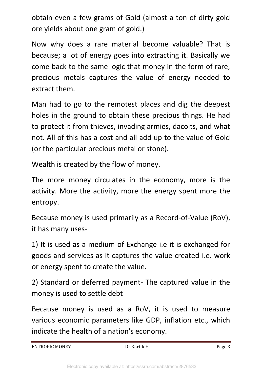obtain even a few grams of Gold (almost a ton of dirty gold ore yields about one gram of gold.)

Now why does a rare material become valuable? That is because; a lot of energy goes into extracting it. Basically we come back to the same logic that money in the form of rare, precious metals captures the value of energy needed to extract them.

Man had to go to the remotest places and dig the deepest holes in the ground to obtain these precious things. He had to protect it from thieves, invading armies, dacoits, and what not. All of this has a cost and all add up to the value of Gold (or the particular precious metal or stone).

Wealth is created by the flow of money.

The more money circulates in the economy, more is the activity. More the activity, more the energy spent more the entropy.

Because money is used primarily as a Record-of-Value (RoV), it has many uses-

1) It is used as a medium of Exchange i.e it is exchanged for goods and services as it captures the value created i.e. work or energy spent to create the value.

2) Standard or deferred payment- The captured value in the money is used to settle debt

Because money is used as a RoV, it is used to measure various economic parameters like GDP, inflation etc., which indicate the health of a nation's economy.

ENTROPIC MONEY Dr.Kartik H Page 3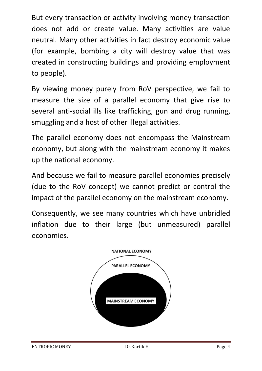But every transaction or activity involving money transaction does not add or create value. Many activities are value neutral. Many other activities in fact destroy economic value (for example, bombing a city will destroy value that was created in constructing buildings and providing employment to people).

By viewing money purely from RoV perspective, we fail to measure the size of a parallel economy that give rise to several anti-social ills like trafficking, gun and drug running, smuggling and a host of other illegal activities.

The parallel economy does not encompass the Mainstream economy, but along with the mainstream economy it makes up the national economy.

And because we fail to measure parallel economies precisely (due to the RoV concept) we cannot predict or control the impact of the parallel economy on the mainstream economy.

Consequently, we see many countries which have unbridled inflation due to their large (but unmeasured) parallel economies.

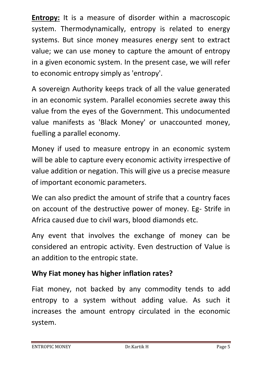**Entropy:** It is a measure of disorder within a macroscopic system. Thermodynamically, entropy is related to energy systems. But since money measures energy sent to extract value; we can use money to capture the amount of entropy in a given economic system. In the present case, we will refer to economic entropy simply as 'entropy'.

A sovereign Authority keeps track of all the value generated in an economic system. Parallel economies secrete away this value from the eyes of the Government. This undocumented value manifests as 'Black Money' or unaccounted money, fuelling a parallel economy.

Money if used to measure entropy in an economic system will be able to capture every economic activity irrespective of value addition or negation. This will give us a precise measure of important economic parameters.

We can also predict the amount of strife that a country faces on account of the destructive power of money. Eg- Strife in Africa caused due to civil wars, blood diamonds etc.

Any event that involves the exchange of money can be considered an entropic activity. Even destruction of Value is an addition to the entropic state.

### **Why Fiat money has higher inflation rates?**

Fiat money, not backed by any commodity tends to add entropy to a system without adding value. As such it increases the amount entropy circulated in the economic system.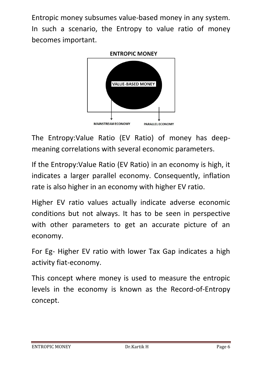Entropic money subsumes value-based money in any system. In such a scenario, the Entropy to value ratio of money becomes important.



The Entropy:Value Ratio (EV Ratio) of money has deepmeaning correlations with several economic parameters.

If the Entropy:Value Ratio (EV Ratio) in an economy is high, it indicates a larger parallel economy. Consequently, inflation rate is also higher in an economy with higher EV ratio.

Higher EV ratio values actually indicate adverse economic conditions but not always. It has to be seen in perspective with other parameters to get an accurate picture of an economy.

For Eg- Higher EV ratio with lower Tax Gap indicates a high activity fiat-economy.

This concept where money is used to measure the entropic levels in the economy is known as the Record-of-Entropy concept.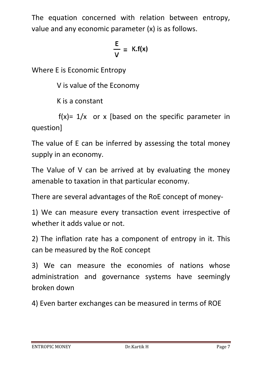The equation concerned with relation between entropy, value and any economic parameter (x) is as follows.

$$
\frac{E}{V} = K.f(x)
$$

Where E is Economic Entropy

V is value of the Economy

K is a constant

 $f(x)= 1/x$  or x [based on the specific parameter in question]

The value of E can be inferred by assessing the total money supply in an economy.

The Value of V can be arrived at by evaluating the money amenable to taxation in that particular economy.

There are several advantages of the RoE concept of money-

1) We can measure every transaction event irrespective of whether it adds value or not.

2) The inflation rate has a component of entropy in it. This can be measured by the RoE concept

3) We can measure the economies of nations whose administration and governance systems have seemingly broken down

4) Even barter exchanges can be measured in terms of ROE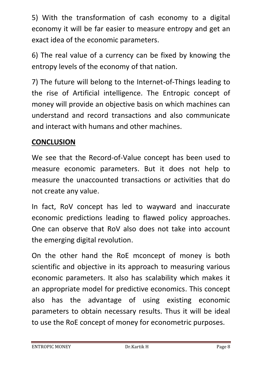5) With the transformation of cash economy to a digital economy it will be far easier to measure entropy and get an exact idea of the economic parameters.

6) The real value of a currency can be fixed by knowing the entropy levels of the economy of that nation.

7) The future will belong to the Internet-of-Things leading to the rise of Artificial intelligence. The Entropic concept of money will provide an objective basis on which machines can understand and record transactions and also communicate and interact with humans and other machines.

### **CONCLUSION**

We see that the Record-of-Value concept has been used to measure economic parameters. But it does not help to measure the unaccounted transactions or activities that do not create any value.

In fact, RoV concept has led to wayward and inaccurate economic predictions leading to flawed policy approaches. One can observe that RoV also does not take into account the emerging digital revolution.

On the other hand the RoE mconcept of money is both scientific and objective in its approach to measuring various economic parameters. It also has scalability which makes it an appropriate model for predictive economics. This concept also has the advantage of using existing economic parameters to obtain necessary results. Thus it will be ideal to use the RoE concept of money for econometric purposes.